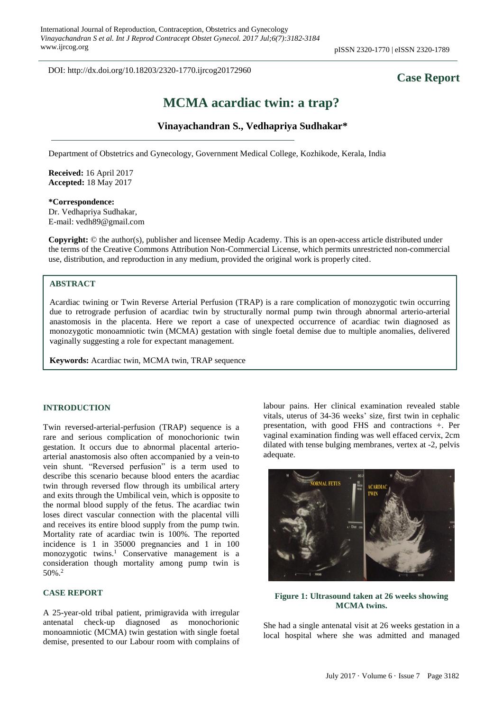DOI: http://dx.doi.org/10.18203/2320-1770.ijrcog20172960

## **Case Report**

# **MCMA acardiac twin: a trap?**

## **Vinayachandran S., Vedhapriya Sudhakar\***

Department of Obstetrics and Gynecology, Government Medical College, Kozhikode, Kerala, India

**Received:** 16 April 2017 **Accepted:** 18 May 2017

**\*Correspondence:** Dr. Vedhapriya Sudhakar, E-mail: vedh89@gmail.com

**Copyright:** © the author(s), publisher and licensee Medip Academy. This is an open-access article distributed under the terms of the Creative Commons Attribution Non-Commercial License, which permits unrestricted non-commercial use, distribution, and reproduction in any medium, provided the original work is properly cited.

#### **ABSTRACT**

Acardiac twining or Twin Reverse Arterial Perfusion (TRAP) is a rare complication of monozygotic twin occurring due to retrograde perfusion of acardiac twin by structurally normal pump twin through abnormal arterio-arterial anastomosis in the placenta. Here we report a case of unexpected occurrence of acardiac twin diagnosed as monozygotic monoamniotic twin (MCMA) gestation with single foetal demise due to multiple anomalies, delivered vaginally suggesting a role for expectant management.

**Keywords:** Acardiac twin, MCMA twin, TRAP sequence

#### **INTRODUCTION**

Twin reversed-arterial-perfusion (TRAP) sequence is a rare and serious complication of monochorionic twin gestation. It occurs due to abnormal placental arterioarterial anastomosis also often accompanied by a vein-to vein shunt. "Reversed perfusion" is a term used to describe this scenario because blood enters the acardiac twin through reversed flow through its umbilical artery and exits through the Umbilical vein, which is opposite to the normal blood supply of the fetus. The acardiac twin loses direct vascular connection with the placental villi and receives its entire blood supply from the pump twin. Mortality rate of acardiac twin is 100%. The reported incidence is 1 in 35000 pregnancies and 1 in 100 monozygotic twins.<sup>1</sup> Conservative management is a consideration though mortality among pump twin is 50%.<sup>2</sup>

#### **CASE REPORT**

A 25-year-old tribal patient, primigravida with irregular antenatal check-up diagnosed as monochorionic monoamniotic (MCMA) twin gestation with single foetal demise, presented to our Labour room with complains of labour pains. Her clinical examination revealed stable vitals, uterus of 34-36 weeks' size, first twin in cephalic presentation, with good FHS and contractions +. Per vaginal examination finding was well effaced cervix, 2cm dilated with tense bulging membranes, vertex at -2, pelvis adequate.



### **Figure 1: Ultrasound taken at 26 weeks showing MCMA twins.**

She had a single antenatal visit at 26 weeks gestation in a local hospital where she was admitted and managed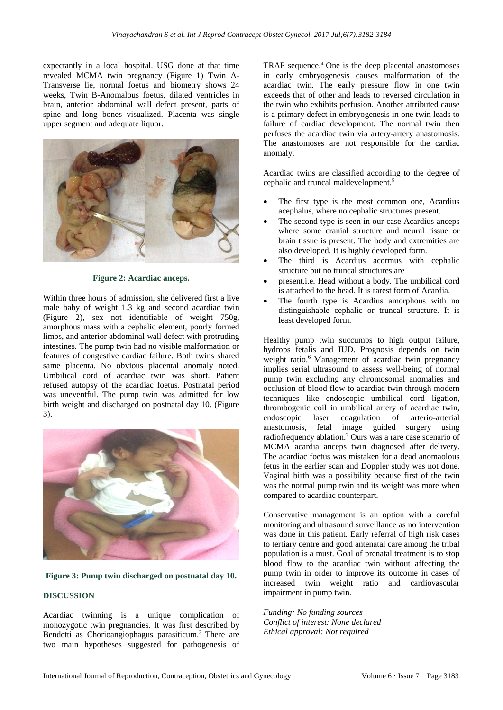expectantly in a local hospital. USG done at that time revealed MCMA twin pregnancy (Figure 1) Twin A-Transverse lie, normal foetus and biometry shows 24 weeks, Twin B-Anomalous foetus, dilated ventricles in brain, anterior abdominal wall defect present, parts of spine and long bones visualized. Placenta was single upper segment and adequate liquor.



**Figure 2: Acardiac anceps.**

Within three hours of admission, she delivered first a live male baby of weight 1.3 kg and second acardiac twin (Figure 2), sex not identifiable of weight 750g, amorphous mass with a cephalic element, poorly formed limbs, and anterior abdominal wall defect with protruding intestines. The pump twin had no visible malformation or features of congestive cardiac failure. Both twins shared same placenta. No obvious placental anomaly noted. Umbilical cord of acardiac twin was short. Patient refused autopsy of the acardiac foetus. Postnatal period was uneventful. The pump twin was admitted for low birth weight and discharged on postnatal day 10. (Figure 3).



#### **Figure 3: Pump twin discharged on postnatal day 10.**

## **DISCUSSION**

Acardiac twinning is a unique complication of monozygotic twin pregnancies. It was first described by Bendetti as Chorioangiophagus parasiticum. <sup>3</sup> There are two main hypotheses suggested for pathogenesis of

TRAP sequence. <sup>4</sup> One is the deep placental anastomoses in early embryogenesis causes malformation of the acardiac twin. The early pressure flow in one twin exceeds that of other and leads to reversed circulation in the twin who exhibits perfusion. Another attributed cause is a primary defect in embryogenesis in one twin leads to failure of cardiac development. The normal twin then perfuses the acardiac twin via artery-artery anastomosis. The anastomoses are not responsible for the cardiac anomaly.

Acardiac twins are classified according to the degree of cephalic and truncal maldevelopment.<sup>5</sup>

- The first type is the most common one, Acardius acephalus, where no cephalic structures present.
- The second type is seen in our case Acardius anceps where some cranial structure and neural tissue or brain tissue is present. The body and extremities are also developed. It is highly developed form.
- The third is Acardius acormus with cephalic structure but no truncal structures are
- present.i.e. Head without a body. The umbilical cord is attached to the head. It is rarest form of Acardia.
- The fourth type is Acardius amorphous with no distinguishable cephalic or truncal structure. It is least developed form.

Healthy pump twin succumbs to high output failure, hydrops fetalis and IUD. Prognosis depends on twin weight ratio. <sup>6</sup> Management of acardiac twin pregnancy implies serial ultrasound to assess well-being of normal pump twin excluding any chromosomal anomalies and occlusion of blood flow to acardiac twin through modern techniques like endoscopic umbilical cord ligation, thrombogenic coil in umbilical artery of acardiac twin, endoscopic laser coagulation of arterio-arterial anastomosis, fetal image guided surgery using radiofrequency ablation.<sup>7</sup> Ours was a rare case scenario of MCMA acardia anceps twin diagnosed after delivery. The acardiac foetus was mistaken for a dead anomaolous fetus in the earlier scan and Doppler study was not done. Vaginal birth was a possibility because first of the twin was the normal pump twin and its weight was more when compared to acardiac counterpart.

Conservative management is an option with a careful monitoring and ultrasound surveillance as no intervention was done in this patient. Early referral of high risk cases to tertiary centre and good antenatal care among the tribal population is a must. Goal of prenatal treatment is to stop blood flow to the acardiac twin without affecting the pump twin in order to improve its outcome in cases of increased twin weight ratio and cardiovascular impairment in pump twin.

*Funding: No funding sources Conflict of interest: None declared Ethical approval: Not required*